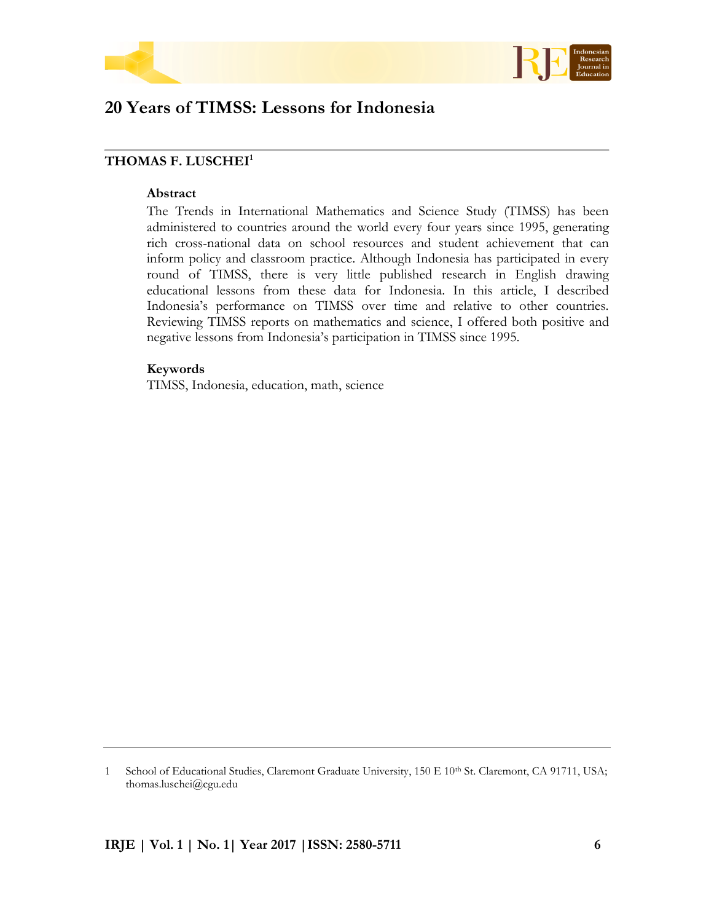



# **20 Years of TIMSS: Lessons for Indonesia**

## **THOMAS F. LUSCHEI<sup>1</sup>**

#### **Abstract**

The Trends in International Mathematics and Science Study (TIMSS) has been administered to countries around the world every four years since 1995, generating rich cross-national data on school resources and student achievement that can inform policy and classroom practice. Although Indonesia has participated in every round of TIMSS, there is very little published research in English drawing educational lessons from these data for Indonesia. In this article, I described Indonesia's performance on TIMSS over time and relative to other countries. Reviewing TIMSS reports on mathematics and science, I offered both positive and negative lessons from Indonesia's participation in TIMSS since 1995.

## **Keywords**

TIMSS, Indonesia, education, math, science

<sup>1</sup> School of Educational Studies, Claremont Graduate University, 150 E 10<sup>th</sup> St. Claremont, CA 91711, USA; thomas.luschei@cgu.edu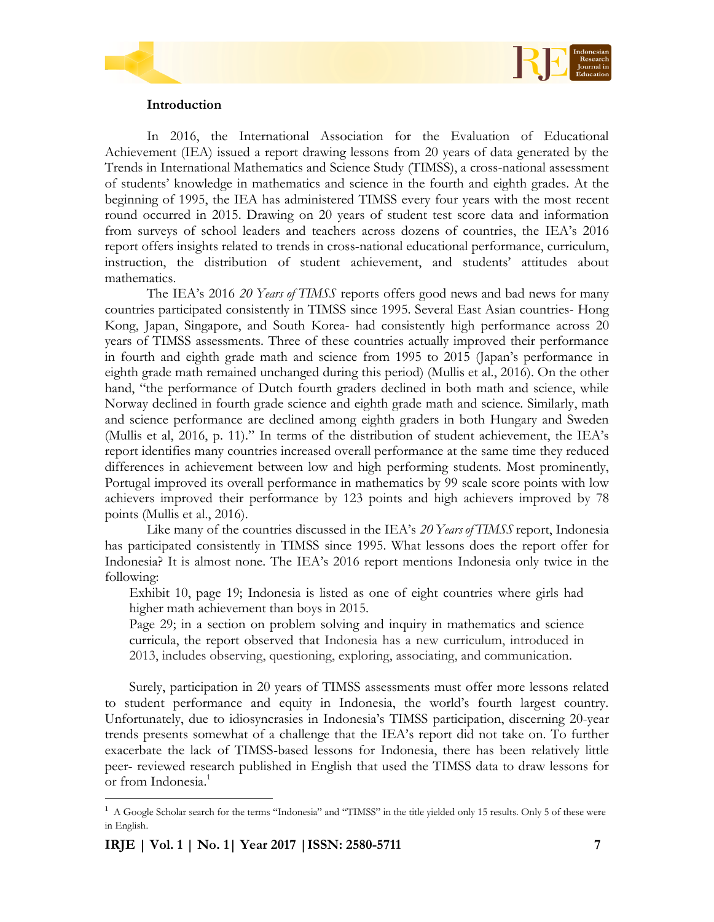

## **Introduction**

In 2016, the International Association for the Evaluation of Educational Achievement (IEA) issued a report drawing lessons from 20 years of data generated by the Trends in International Mathematics and Science Study (TIMSS), a cross-national assessment of students' knowledge in mathematics and science in the fourth and eighth grades. At the beginning of 1995, the IEA has administered TIMSS every four years with the most recent round occurred in 2015. Drawing on 20 years of student test score data and information from surveys of school leaders and teachers across dozens of countries, the IEA's 2016 report offers insights related to trends in cross-national educational performance, curriculum, instruction, the distribution of student achievement, and students' attitudes about mathematics.

The IEA's 2016 *20 Years of TIMSS* reports offers good news and bad news for many countries participated consistently in TIMSS since 1995. Several East Asian countries- Hong Kong, Japan, Singapore, and South Korea- had consistently high performance across 20 years of TIMSS assessments. Three of these countries actually improved their performance in fourth and eighth grade math and science from 1995 to 2015 (Japan's performance in eighth grade math remained unchanged during this period) (Mullis et al., 2016). On the other hand, "the performance of Dutch fourth graders declined in both math and science, while Norway declined in fourth grade science and eighth grade math and science. Similarly, math and science performance are declined among eighth graders in both Hungary and Sweden (Mullis et al, 2016, p. 11)." In terms of the distribution of student achievement, the IEA's report identifies many countries increased overall performance at the same time they reduced differences in achievement between low and high performing students. Most prominently, Portugal improved its overall performance in mathematics by 99 scale score points with low achievers improved their performance by 123 points and high achievers improved by 78 points (Mullis et al., 2016).

Like many of the countries discussed in the IEA's *20 Years of TIMSS* report, Indonesia has participated consistently in TIMSS since 1995. What lessons does the report offer for Indonesia? It is almost none. The IEA's 2016 report mentions Indonesia only twice in the following:

Exhibit 10, page 19; Indonesia is listed as one of eight countries where girls had higher math achievement than boys in 2015.

Page 29; in a section on problem solving and inquiry in mathematics and science curricula, the report observed that Indonesia has a new curriculum, introduced in 2013, includes observing, questioning, exploring, associating, and communication.

Surely, participation in 20 years of TIMSS assessments must offer more lessons related to student performance and equity in Indonesia, the world's fourth largest country. Unfortunately, due to idiosyncrasies in Indonesia's TIMSS participation, discerning 20-year trends presents somewhat of a challenge that the IEA's report did not take on. To further exacerbate the lack of TIMSS-based lessons for Indonesia, there has been relatively little peer- reviewed research published in English that used the TIMSS data to draw lessons for or from Indonesia.<sup>1</sup>

 $\overline{a}$ 

 $<sup>1</sup>$  A Google Scholar search for the terms "Indonesia" and "TIMSS" in the title yielded only 15 results. Only 5 of these were</sup> in English.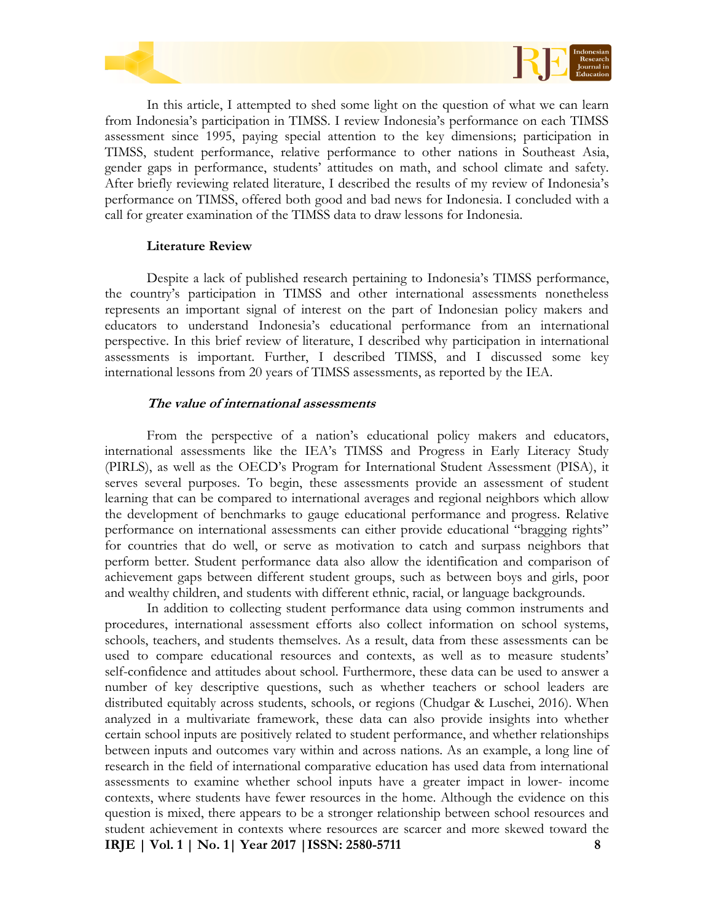



In this article, I attempted to shed some light on the question of what we can learn from Indonesia's participation in TIMSS. I review Indonesia's performance on each TIMSS assessment since 1995, paying special attention to the key dimensions; participation in TIMSS, student performance, relative performance to other nations in Southeast Asia, gender gaps in performance, students' attitudes on math, and school climate and safety. After briefly reviewing related literature, I described the results of my review of Indonesia's performance on TIMSS, offered both good and bad news for Indonesia. I concluded with a call for greater examination of the TIMSS data to draw lessons for Indonesia.

## **Literature Review**

Despite a lack of published research pertaining to Indonesia's TIMSS performance, the country's participation in TIMSS and other international assessments nonetheless represents an important signal of interest on the part of Indonesian policy makers and educators to understand Indonesia's educational performance from an international perspective. In this brief review of literature, I described why participation in international assessments is important. Further, I described TIMSS, and I discussed some key international lessons from 20 years of TIMSS assessments, as reported by the IEA.

## **The value of international assessments**

From the perspective of a nation's educational policy makers and educators, international assessments like the IEA's TIMSS and Progress in Early Literacy Study (PIRLS), as well as the OECD's Program for International Student Assessment (PISA), it serves several purposes. To begin, these assessments provide an assessment of student learning that can be compared to international averages and regional neighbors which allow the development of benchmarks to gauge educational performance and progress. Relative performance on international assessments can either provide educational "bragging rights" for countries that do well, or serve as motivation to catch and surpass neighbors that perform better. Student performance data also allow the identification and comparison of achievement gaps between different student groups, such as between boys and girls, poor and wealthy children, and students with different ethnic, racial, or language backgrounds.

**IRJE | Vol. 1 | No. 1| Year 2017 |ISSN: 2580-5711 8** In addition to collecting student performance data using common instruments and procedures, international assessment efforts also collect information on school systems, schools, teachers, and students themselves. As a result, data from these assessments can be used to compare educational resources and contexts, as well as to measure students' self-confidence and attitudes about school. Furthermore, these data can be used to answer a number of key descriptive questions, such as whether teachers or school leaders are distributed equitably across students, schools, or regions (Chudgar & Luschei, 2016). When analyzed in a multivariate framework, these data can also provide insights into whether certain school inputs are positively related to student performance, and whether relationships between inputs and outcomes vary within and across nations. As an example, a long line of research in the field of international comparative education has used data from international assessments to examine whether school inputs have a greater impact in lower- income contexts, where students have fewer resources in the home. Although the evidence on this question is mixed, there appears to be a stronger relationship between school resources and student achievement in contexts where resources are scarcer and more skewed toward the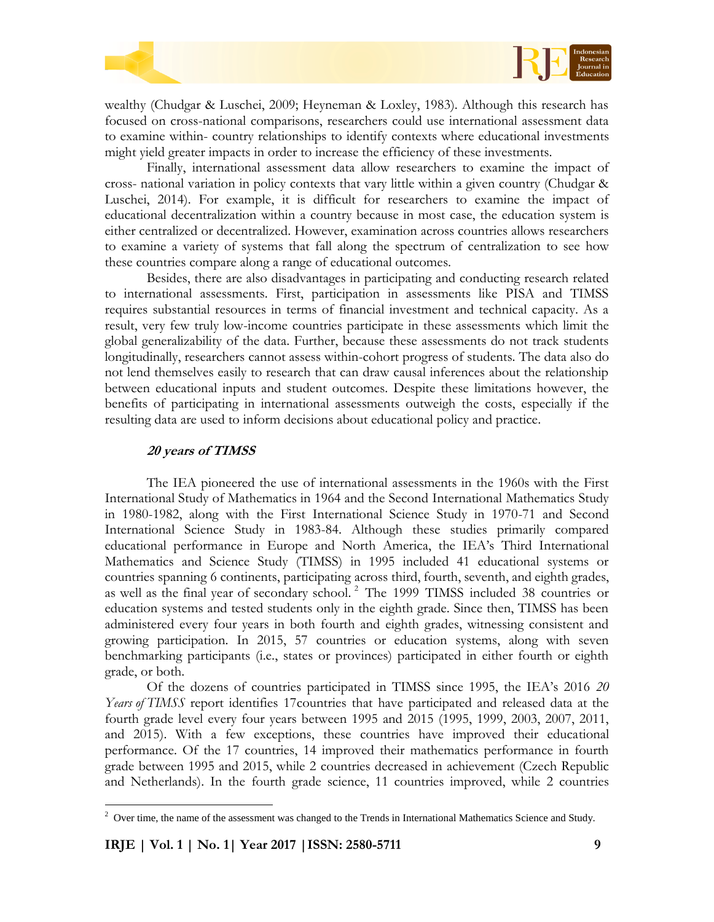



wealthy (Chudgar & Luschei, 2009; Heyneman & Loxley, 1983). Although this research has focused on cross-national comparisons, researchers could use international assessment data to examine within- country relationships to identify contexts where educational investments might yield greater impacts in order to increase the efficiency of these investments.

Finally, international assessment data allow researchers to examine the impact of cross- national variation in policy contexts that vary little within a given country (Chudgar & Luschei, 2014). For example, it is difficult for researchers to examine the impact of educational decentralization within a country because in most case, the education system is either centralized or decentralized. However, examination across countries allows researchers to examine a variety of systems that fall along the spectrum of centralization to see how these countries compare along a range of educational outcomes.

Besides, there are also disadvantages in participating and conducting research related to international assessments. First, participation in assessments like PISA and TIMSS requires substantial resources in terms of financial investment and technical capacity. As a result, very few truly low-income countries participate in these assessments which limit the global generalizability of the data. Further, because these assessments do not track students longitudinally, researchers cannot assess within-cohort progress of students. The data also do not lend themselves easily to research that can draw causal inferences about the relationship between educational inputs and student outcomes. Despite these limitations however, the benefits of participating in international assessments outweigh the costs, especially if the resulting data are used to inform decisions about educational policy and practice.

#### **20 years of TIMSS**

The IEA pioneered the use of international assessments in the 1960s with the First International Study of Mathematics in 1964 and the Second International Mathematics Study in 1980-1982, along with the First International Science Study in 1970-71 and Second International Science Study in 1983-84. Although these studies primarily compared educational performance in Europe and North America, the IEA's Third International Mathematics and Science Study (TIMSS) in 1995 included 41 educational systems or countries spanning 6 continents, participating across third, fourth, seventh, and eighth grades, as well as the final year of secondary school. <sup>2</sup> The 1999 TIMSS included 38 countries or education systems and tested students only in the eighth grade. Since then, TIMSS has been administered every four years in both fourth and eighth grades, witnessing consistent and growing participation. In 2015, 57 countries or education systems, along with seven benchmarking participants (i.e., states or provinces) participated in either fourth or eighth grade, or both.

Of the dozens of countries participated in TIMSS since 1995, the IEA's 2016 *20 Years of TIMSS* report identifies 17 countries that have participated and released data at the fourth grade level every four years between 1995 and 2015 (1995, 1999, 2003, 2007, 2011, and 2015). With a few exceptions, these countries have improved their educational performance. Of the 17 countries, 14 improved their mathematics performance in fourth grade between 1995 and 2015, while 2 countries decreased in achievement (Czech Republic and Netherlands). In the fourth grade science, 11 countries improved, while 2 countries

 $\overline{a}$ 

 $2$  Over time, the name of the assessment was changed to the Trends in International Mathematics Science and Study.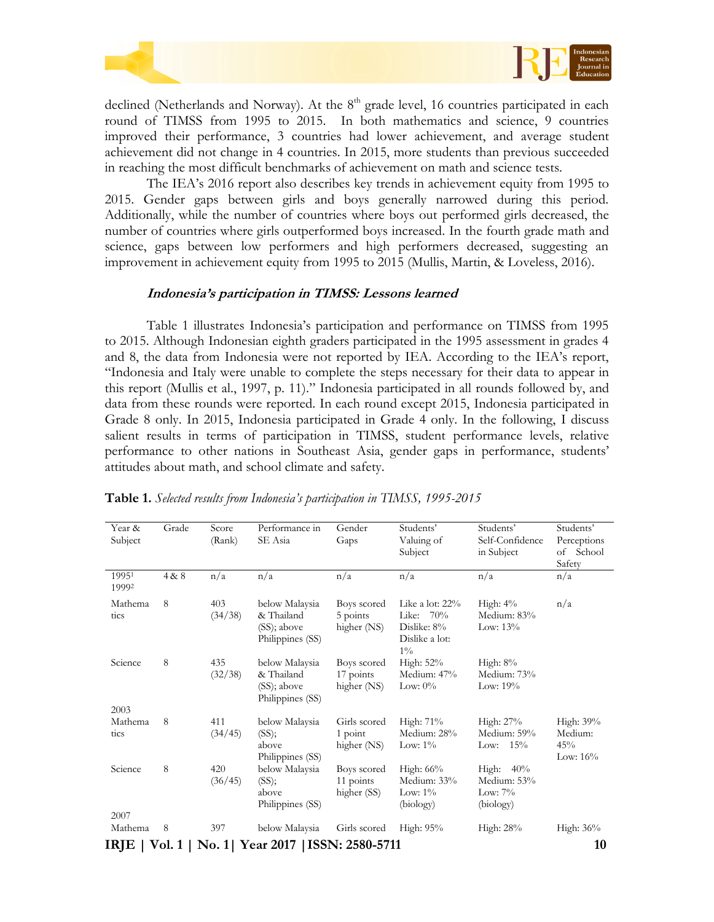



declined (Netherlands and Norway). At the  $8<sup>th</sup>$  grade level, 16 countries participated in each round of TIMSS from 1995 to 2015. In both mathematics and science, 9 countries improved their performance, 3 countries had lower achievement, and average student achievement did not change in 4 countries. In 2015, more students than previous succeeded in reaching the most difficult benchmarks of achievement on math and science tests.

The IEA's 2016 report also describes key trends in achievement equity from 1995 to 2015. Gender gaps between girls and boys generally narrowed during this period. Additionally, while the number of countries where boys out performed girls decreased, the number of countries where girls outperformed boys increased. In the fourth grade math and science, gaps between low performers and high performers decreased, suggesting an improvement in achievement equity from 1995 to 2015 (Mullis, Martin, & Loveless, 2016).

#### **Indonesia's participation in TIMSS: Lessons learned**

Table 1 illustrates Indonesia's participation and performance on TIMSS from 1995 to 2015. Although Indonesian eighth graders participated in the 1995 assessment in grades 4 and 8, the data from Indonesia were not reported by IEA. According to the IEA's report, "Indonesia and Italy were unable to complete the steps necessary for their data to appear in this report (Mullis et al., 1997, p. 11)." Indonesia participated in all rounds followed by, and data from these rounds were reported. In each round except 2015, Indonesia participated in Grade 8 only. In 2015, Indonesia participated in Grade 4 only. In the following, I discuss salient results in terms of participation in TIMSS, student performance levels, relative performance to other nations in Southeast Asia, gender gaps in performance, students' attitudes about math, and school climate and safety.

| Year &          | Grade | Score   | Performance in                     | Gender                                       | Students'          | Students'       | Students'   |
|-----------------|-------|---------|------------------------------------|----------------------------------------------|--------------------|-----------------|-------------|
| Subject         |       | (Rank)  | SE Asia                            | Gaps                                         | Valuing of         | Self-Confidence | Perceptions |
|                 |       |         |                                    |                                              | Subject            | in Subject      | of School   |
|                 |       |         |                                    |                                              |                    |                 | Safety      |
| 19951<br>19992  | 4 & 8 | n/a     | n/a                                | n/a                                          | n/a                | n/a             | n/a         |
| Mathema         | 8     | 403     | below Malaysia                     | Boys scored                                  | Like a lot: $22\%$ | High: $4\%$     | n/a         |
| tics            |       | (34/38) | & Thailand                         | 5 points                                     | Like: 70%          | Medium: 83%     |             |
|                 |       |         | (SS); above                        | higher (NS)<br>Dislike: 8%<br>Dislike a lot: |                    | Low: $13\%$     |             |
|                 |       |         | Philippines (SS)                   |                                              |                    |                 |             |
|                 |       |         |                                    |                                              | $1\%$              |                 |             |
| Science         | 8     | 435     | below Malaysia                     | Boys scored                                  | High: 52%          | High: $8\%$     |             |
|                 |       | (32/38) | & Thailand                         | 17 points                                    | Medium: 47%        | Medium: 73%     |             |
|                 |       |         | (SS); above<br>Philippines (SS)    | higher (NS)                                  | Low: $0\%$         | Low: $19\%$     |             |
| 2003            |       |         |                                    |                                              |                    |                 |             |
| Mathema         | 8     | 411     | below Malaysia                     | Girls scored                                 | High: 71%          | High: 27%       | High: 39%   |
| tics            |       | (34/45) | (SS);                              | $1$ point                                    | Medium: 28%        | Medium: 59%     | Medium:     |
|                 |       |         | above                              | higher (NS)                                  | Low: $1\%$         | Low: $15%$      | 45%         |
|                 |       |         | Philippines (SS)                   |                                              |                    |                 | Low: $16\%$ |
| Science         | 8     | 420     | below Malaysia                     | Boys scored                                  | High: 66%          | High: $40\%$    |             |
|                 |       | (36/45) | (SS);                              | 11 points                                    | Medium: 33%        | Medium: 53%     |             |
|                 |       |         | above                              | higher (SS)                                  | Low: $1\%$         | Low: $7\%$      |             |
|                 |       |         | Philippines (SS)                   |                                              | (biology)          | (biology)       |             |
| 2007            |       |         |                                    |                                              |                    |                 |             |
| Mathema         | 8     | 397     | below Malaysia                     | Girls scored                                 | High: 95%          | High: 28%       | High: 36%   |
| $IRJE$   Vol. 1 |       |         | No. 1  Year 2017   ISSN: 2580-5711 |                                              |                    |                 | 10          |

#### **Table 1.** *Selected results from Indonesia's participation in TIMSS, 1995-2015*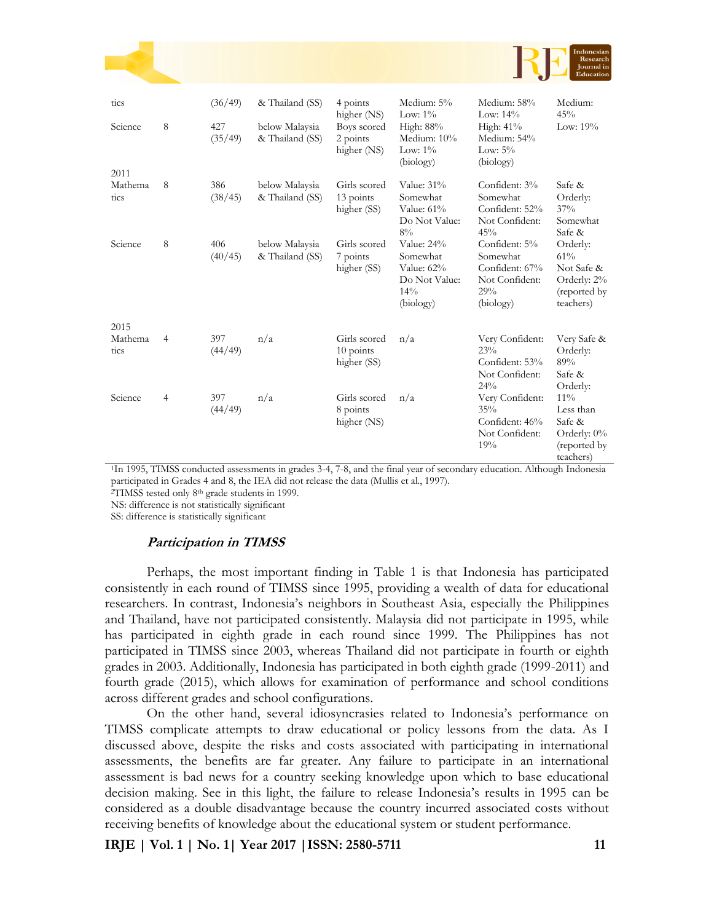|                         |   |                |                                   |                                          |                                                                           |                                                                                   | Indonesian<br>Research<br><b>Journal</b> in<br>Education                  |
|-------------------------|---|----------------|-----------------------------------|------------------------------------------|---------------------------------------------------------------------------|-----------------------------------------------------------------------------------|---------------------------------------------------------------------------|
| tics                    |   | (36/49)        | & Thailand (SS)                   | 4 points<br>higher (NS)                  | Medium: 5%<br>Low: $1\%$                                                  | Medium: 58%<br>Low: $14\%$                                                        | Medium:<br>45%                                                            |
| Science<br>2011         | 8 | 427<br>(35/49) | below Malaysia<br>& Thailand (SS) | Boys scored<br>2 points<br>higher (NS)   | High: 88%<br>Medium: 10%<br>Low: $1\%$<br>(biology)                       | High: 41%<br>Medium: 54%<br>Low: $5\%$<br>(biology)                               | Low: $19%$                                                                |
| Mathema<br>tics         | 8 | 386<br>(38/45) | below Malaysia<br>& Thailand (SS) | Girls scored<br>13 points<br>higher (SS) | Value: 31%<br>Somewhat<br>Value: 61%<br>Do Not Value:<br>8%               | Confident: 3%<br>Somewhat<br>Confident: 52%<br>Not Confident:<br>45%              | Safe &<br>Orderly:<br>37%<br>Somewhat<br>Safe &                           |
| Science                 | 8 | 406<br>(40/45) | below Malaysia<br>& Thailand (SS) | Girls scored<br>7 points<br>higher (SS)  | Value: 24%<br>Somewhat<br>Value: 62%<br>Do Not Value:<br>14%<br>(biology) | Confident: 5%<br>Somewhat<br>Confident: 67%<br>Not Confident:<br>29%<br>(biology) | Orderly:<br>61%<br>Not Safe &<br>Orderly: 2%<br>(reported by<br>teachers) |
| 2015<br>Mathema<br>tics | 4 | 397<br>(44/49) | n/a                               | Girls scored<br>10 points<br>higher (SS) | n/a                                                                       | Very Confident:<br>23%<br>Confident: 53%<br>Not Confident:<br>24%                 | Very Safe &<br>Orderly:<br>89%<br>Safe &<br>Orderly:                      |
| Science                 | 4 | 397<br>(44/49) | n/a                               | Girls scored<br>8 points<br>higher (NS)  | n/a                                                                       | Very Confident:<br>35%<br>Confident: 46%                                          | $11\%$<br>Less than<br>Safe &                                             |

<sup>1</sup>In 1995, TIMSS conducted assessments in grades 3-4, 7-8, and the final year of secondary education. Although Indonesia participated in Grades 4 and 8, the IEA did not release the data (Mullis et al., 1997).

<sup>2</sup>TIMSS tested only 8th grade students in 1999.

NS: difference is not statistically significant

SS: difference is statistically significant

## **Participation in TIMSS**

Perhaps, the most important finding in Table 1 is that Indonesia has participated consistently in each round of TIMSS since 1995, providing a wealth of data for educational researchers. In contrast, Indonesia's neighbors in Southeast Asia, especially the Philippines and Thailand, have not participated consistently. Malaysia did not participate in 1995, while has participated in eighth grade in each round since 1999. The Philippines has not participated in TIMSS since 2003, whereas Thailand did not participate in fourth or eighth grades in 2003. Additionally, Indonesia has participated in both eighth grade (1999-2011) and fourth grade (2015), which allows for examination of performance and school conditions across different grades and school configurations.

On the other hand, several idiosyncrasies related to Indonesia's performance on TIMSS complicate attempts to draw educational or policy lessons from the data. As I discussed above, despite the risks and costs associated with participating in international assessments, the benefits are far greater. Any failure to participate in an international assessment is bad news for a country seeking knowledge upon which to base educational decision making. See in this light, the failure to release Indonesia's results in 1995 can be considered as a double disadvantage because the country incurred associated costs without receiving benefits of knowledge about the educational system or student performance.

**IRJE | Vol. 1 | No. 1| Year 2017 |ISSN: 2580-5711 11**

Orderly: 0% (reported by teachers)

Not Confident:

19%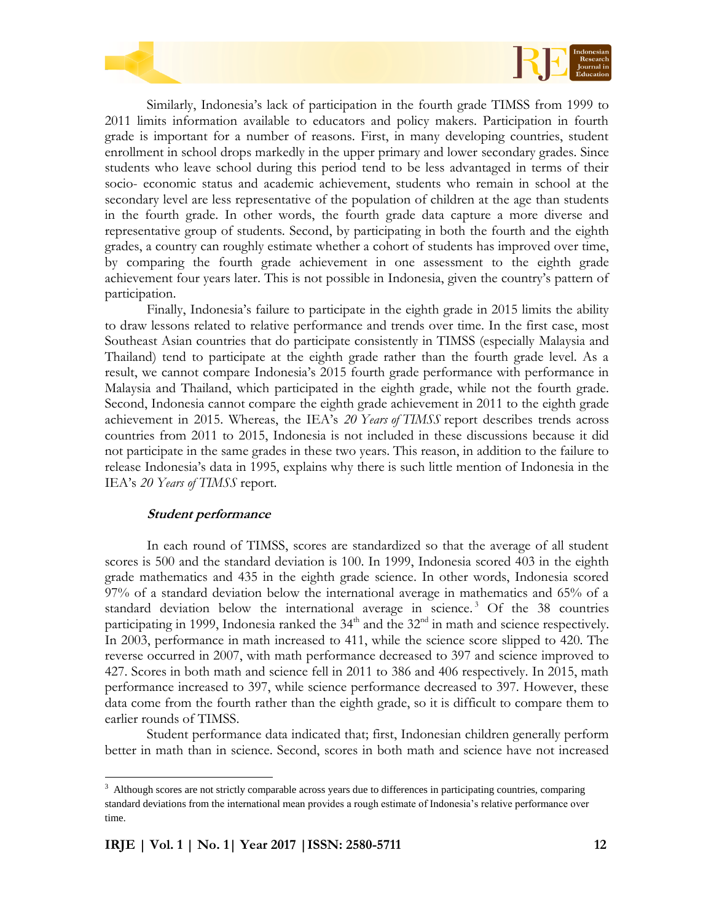

Similarly, Indonesia's lack of participation in the fourth grade TIMSS from 1999 to 2011 limits information available to educators and policy makers. Participation in fourth grade is important for a number of reasons. First, in many developing countries, student enrollment in school drops markedly in the upper primary and lower secondary grades. Since students who leave school during this period tend to be less advantaged in terms of their socio- economic status and academic achievement, students who remain in school at the secondary level are less representative of the population of children at the age than students in the fourth grade. In other words, the fourth grade data capture a more diverse and representative group of students. Second, by participating in both the fourth and the eighth grades, a country can roughly estimate whether a cohort of students has improved over time, by comparing the fourth grade achievement in one assessment to the eighth grade achievement four years later. This is not possible in Indonesia, given the country's pattern of participation.

Finally, Indonesia's failure to participate in the eighth grade in 2015 limits the ability to draw lessons related to relative performance and trends over time. In the first case, most Southeast Asian countries that do participate consistently in TIMSS (especially Malaysia and Thailand) tend to participate at the eighth grade rather than the fourth grade level. As a result, we cannot compare Indonesia's 2015 fourth grade performance with performance in Malaysia and Thailand, which participated in the eighth grade, while not the fourth grade. Second, Indonesia cannot compare the eighth grade achievement in 2011 to the eighth grade achievement in 2015. Whereas, the IEA's *20 Years of TIMSS* report describes trends across countries from 2011 to 2015, Indonesia is not included in these discussions because it did not participate in the same grades in these two years. This reason, in addition to the failure to release Indonesia's data in 1995, explains why there is such little mention of Indonesia in the IEA's *20 Years of TIMSS* report.

#### **Student performance**

 $\overline{a}$ 

In each round of TIMSS, scores are standardized so that the average of all student scores is 500 and the standard deviation is 100. In 1999, Indonesia scored 403 in the eighth grade mathematics and 435 in the eighth grade science. In other words, Indonesia scored 97% of a standard deviation below the international average in mathematics and 65% of a standard deviation below the international average in science.<sup>3</sup> Of the 38 countries participating in 1999, Indonesia ranked the  $34<sup>th</sup>$  and the  $32<sup>nd</sup>$  in math and science respectively. In 2003, performance in math increased to 411, while the science score slipped to 420. The reverse occurred in 2007, with math performance decreased to 397 and science improved to 427. Scores in both math and science fell in 2011 to 386 and 406 respectively. In 2015, math performance increased to 397, while science performance decreased to 397. However, these data come from the fourth rather than the eighth grade, so it is difficult to compare them to earlier rounds of TIMSS.

Student performance data indicated that; first, Indonesian children generally perform better in math than in science. Second, scores in both math and science have not increased

<sup>&</sup>lt;sup>3</sup> Although scores are not strictly comparable across years due to differences in participating countries, comparing standard deviations from the international mean provides a rough estimate of Indonesia's relative performance over time.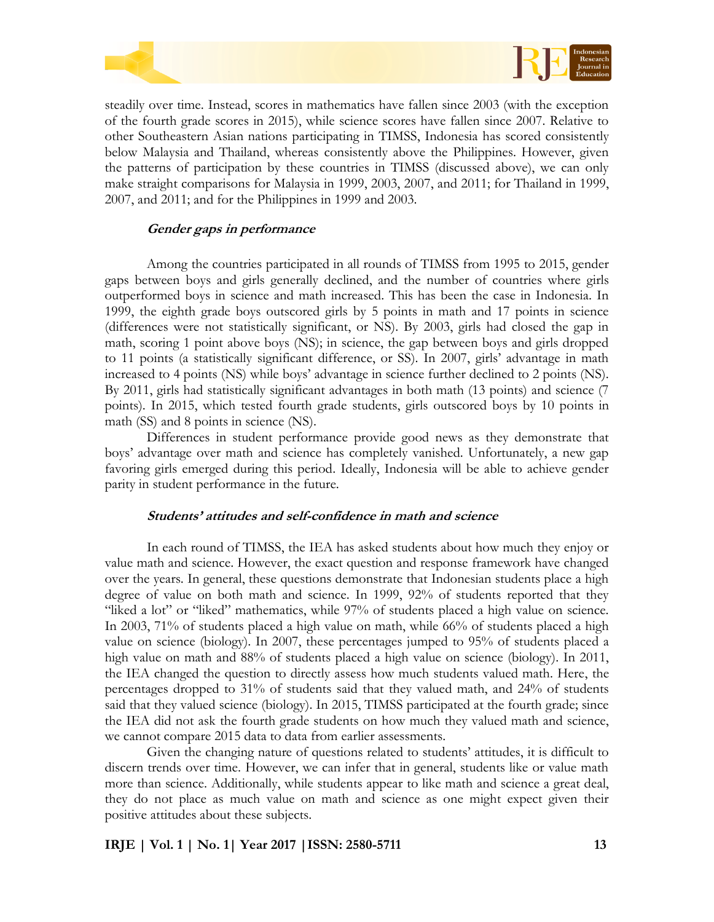



steadily over time. Instead, scores in mathematics have fallen since 2003 (with the exception of the fourth grade scores in 2015), while science scores have fallen since 2007. Relative to other Southeastern Asian nations participating in TIMSS, Indonesia has scored consistently below Malaysia and Thailand, whereas consistently above the Philippines. However, given the patterns of participation by these countries in TIMSS (discussed above), we can only make straight comparisons for Malaysia in 1999, 2003, 2007, and 2011; for Thailand in 1999, 2007, and 2011; and for the Philippines in 1999 and 2003.

## **Gender gaps in performance**

Among the countries participated in all rounds of TIMSS from 1995 to 2015, gender gaps between boys and girls generally declined, and the number of countries where girls outperformed boys in science and math increased. This has been the case in Indonesia. In 1999, the eighth grade boys outscored girls by 5 points in math and 17 points in science (differences were not statistically significant, or NS). By 2003, girls had closed the gap in math, scoring 1 point above boys (NS); in science, the gap between boys and girls dropped to 11 points (a statistically significant difference, or SS). In 2007, girls' advantage in math increased to 4 points (NS) while boys' advantage in science further declined to 2 points (NS). By 2011, girls had statistically significant advantages in both math (13 points) and science (7 points). In 2015, which tested fourth grade students, girls outscored boys by 10 points in math (SS) and 8 points in science (NS).

Differences in student performance provide good news as they demonstrate that boys' advantage over math and science has completely vanished. Unfortunately, a new gap favoring girls emerged during this period. Ideally, Indonesia will be able to achieve gender parity in student performance in the future.

## **Students' attitudes and self-confidence in math and science**

In each round of TIMSS, the IEA has asked students about how much they enjoy or value math and science. However, the exact question and response framework have changed over the years. In general, these questions demonstrate that Indonesian students place a high degree of value on both math and science. In 1999, 92% of students reported that they "liked a lot" or "liked" mathematics, while 97% of students placed a high value on science. In 2003, 71% of students placed a high value on math, while 66% of students placed a high value on science (biology). In 2007, these percentages jumped to 95% of students placed a high value on math and 88% of students placed a high value on science (biology). In 2011, the IEA changed the question to directly assess how much students valued math. Here, the percentages dropped to 31% of students said that they valued math, and 24% of students said that they valued science (biology). In 2015, TIMSS participated at the fourth grade; since the IEA did not ask the fourth grade students on how much they valued math and science, we cannot compare 2015 data to data from earlier assessments.

Given the changing nature of questions related to students' attitudes, it is difficult to discern trends over time. However, we can infer that in general, students like or value math more than science. Additionally, while students appear to like math and science a great deal, they do not place as much value on math and science as one might expect given their positive attitudes about these subjects.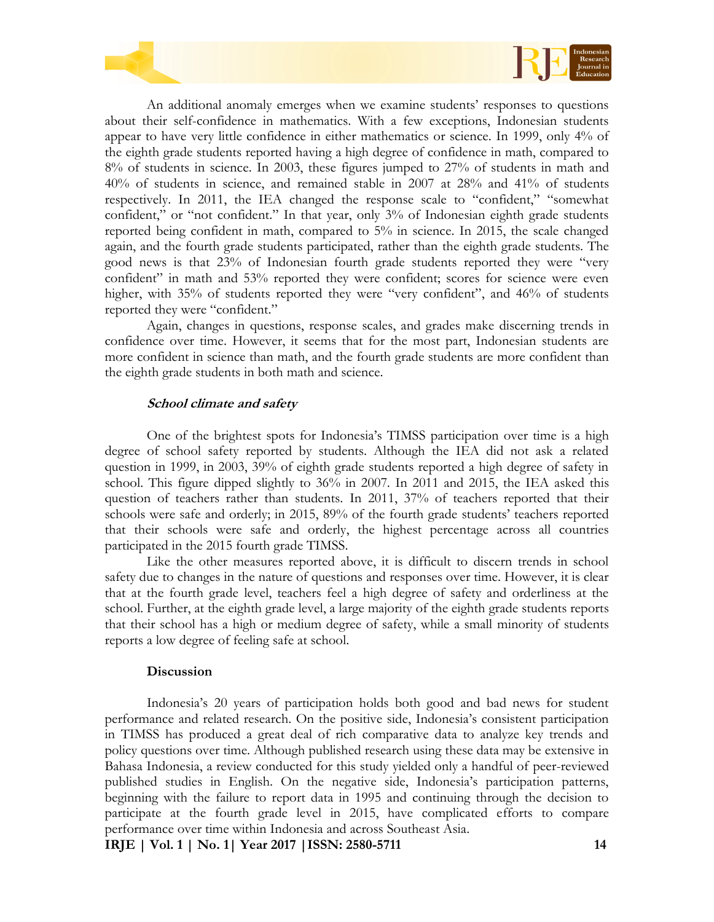

An additional anomaly emerges when we examine students' responses to questions about their self-confidence in mathematics. With a few exceptions, Indonesian students appear to have very little confidence in either mathematics or science. In 1999, only 4% of the eighth grade students reported having a high degree of confidence in math, compared to 8% of students in science. In 2003, these figures jumped to 27% of students in math and 40% of students in science, and remained stable in 2007 at 28% and 41% of students respectively. In 2011, the IEA changed the response scale to "confident," "somewhat confident," or "not confident." In that year, only 3% of Indonesian eighth grade students reported being confident in math, compared to 5% in science. In 2015, the scale changed again, and the fourth grade students participated, rather than the eighth grade students. The good news is that 23% of Indonesian fourth grade students reported they were "very confident" in math and 53% reported they were confident; scores for science were even higher, with 35% of students reported they were "very confident", and 46% of students reported they were "confident."

Again, changes in questions, response scales, and grades make discerning trends in confidence over time. However, it seems that for the most part, Indonesian students are more confident in science than math, and the fourth grade students are more confident than the eighth grade students in both math and science.

#### **School climate and safety**

One of the brightest spots for Indonesia's TIMSS participation over time is a high degree of school safety reported by students. Although the IEA did not ask a related question in 1999, in 2003, 39% of eighth grade students reported a high degree of safety in school. This figure dipped slightly to 36% in 2007. In 2011 and 2015, the IEA asked this question of teachers rather than students. In 2011, 37% of teachers reported that their schools were safe and orderly; in 2015, 89% of the fourth grade students' teachers reported that their schools were safe and orderly, the highest percentage across all countries participated in the 2015 fourth grade TIMSS.

Like the other measures reported above, it is difficult to discern trends in school safety due to changes in the nature of questions and responses over time. However, it is clear that at the fourth grade level, teachers feel a high degree of safety and orderliness at the school. Further, at the eighth grade level, a large majority of the eighth grade students reports that their school has a high or medium degree of safety, while a small minority of students reports a low degree of feeling safe at school.

#### **Discussion**

Indonesia's 20 years of participation holds both good and bad news for student performance and related research. On the positive side, Indonesia's consistent participation in TIMSS has produced a great deal of rich comparative data to analyze key trends and policy questions over time. Although published research using these data may be extensive in Bahasa Indonesia, a review conducted for this study yielded only a handful of peer-reviewed published studies in English. On the negative side, Indonesia's participation patterns, beginning with the failure to report data in 1995 and continuing through the decision to participate at the fourth grade level in 2015, have complicated efforts to compare performance over time within Indonesia and across Southeast Asia.

**IRJE | Vol. 1 | No. 1| Year 2017 |ISSN: 2580-5711 14**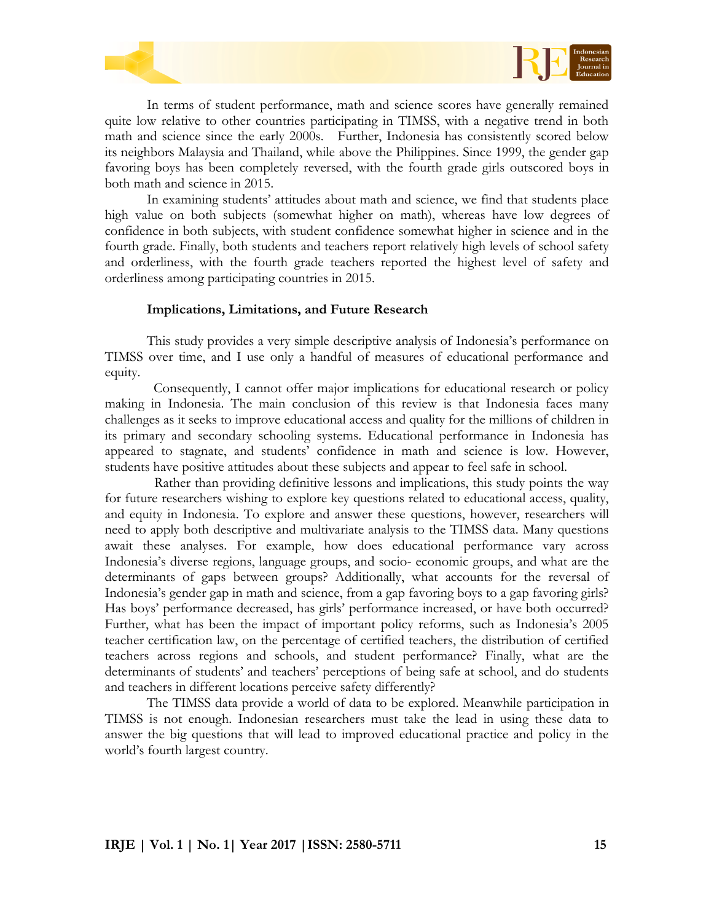



In terms of student performance, math and science scores have generally remained quite low relative to other countries participating in TIMSS, with a negative trend in both math and science since the early 2000s. Further, Indonesia has consistently scored below its neighbors Malaysia and Thailand, while above the Philippines. Since 1999, the gender gap favoring boys has been completely reversed, with the fourth grade girls outscored boys in both math and science in 2015.

In examining students' attitudes about math and science, we find that students place high value on both subjects (somewhat higher on math), whereas have low degrees of confidence in both subjects, with student confidence somewhat higher in science and in the fourth grade. Finally, both students and teachers report relatively high levels of school safety and orderliness, with the fourth grade teachers reported the highest level of safety and orderliness among participating countries in 2015.

#### **Implications, Limitations, and Future Research**

This study provides a very simple descriptive analysis of Indonesia's performance on TIMSS over time, and I use only a handful of measures of educational performance and equity.

Consequently, I cannot offer major implications for educational research or policy making in Indonesia. The main conclusion of this review is that Indonesia faces many challenges as it seeks to improve educational access and quality for the millions of children in its primary and secondary schooling systems. Educational performance in Indonesia has appeared to stagnate, and students' confidence in math and science is low. However, students have positive attitudes about these subjects and appear to feel safe in school.

Rather than providing definitive lessons and implications, this study points the way for future researchers wishing to explore key questions related to educational access, quality, and equity in Indonesia. To explore and answer these questions, however, researchers will need to apply both descriptive and multivariate analysis to the TIMSS data. Many questions await these analyses. For example, how does educational performance vary across Indonesia's diverse regions, language groups, and socio- economic groups, and what are the determinants of gaps between groups? Additionally, what accounts for the reversal of Indonesia's gender gap in math and science, from a gap favoring boys to a gap favoring girls? Has boys' performance decreased, has girls' performance increased, or have both occurred? Further, what has been the impact of important policy reforms, such as Indonesia's 2005 teacher certification law, on the percentage of certified teachers, the distribution of certified teachers across regions and schools, and student performance? Finally, what are the determinants of students' and teachers' perceptions of being safe at school, and do students and teachers in different locations perceive safety differently?

The TIMSS data provide a world of data to be explored. Meanwhile participation in TIMSS is not enough. Indonesian researchers must take the lead in using these data to answer the big questions that will lead to improved educational practice and policy in the world's fourth largest country.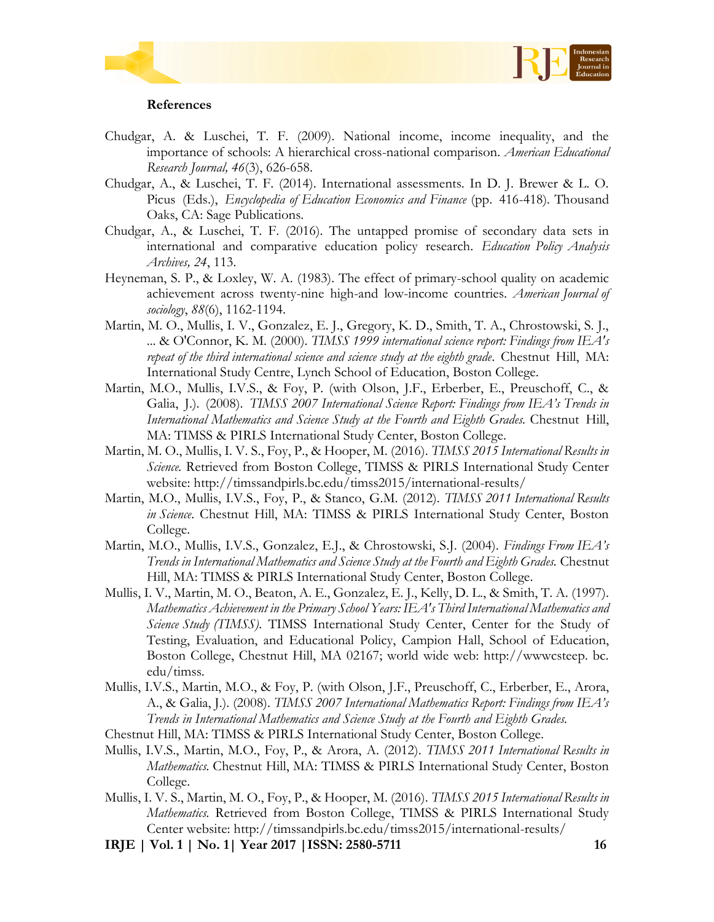



## **References**

- Chudgar, A. & Luschei, T. F. (2009). National income, income inequality, and the importance of schools: A hierarchical cross-national comparison. *American Educational Research Journal, 46*(3), 626-658.
- Chudgar, A., & Luschei, T. F. (2014). International assessments. In D. J. Brewer & L. O. Picus (Eds.), *Encyclopedia of Education Economics and Finance* (pp. 416-418)*.* Thousand Oaks, CA: Sage Publications.
- Chudgar, A., & Luschei, T. F. (2016). The untapped promise of secondary data sets in international and comparative education policy research. *Education Policy Analysis Archives, 24*, 113.
- Heyneman, S. P., & Loxley, W. A. (1983). The effect of primary-school quality on academic achievement across twenty-nine high-and low-income countries. *American Journal of sociology*, *88*(6), 1162-1194.
- Martin, M. O., Mullis, I. V., Gonzalez, E. J., Gregory, K. D., Smith, T. A., Chrostowski, S. J., ... & O'Connor, K. M. (2000). *TIMSS 1999 international science report: Findings from IEA's repeat of the third international science and science study at the eighth grade*. Chestnut Hill, MA: International Study Centre, Lynch School of Education, Boston College.
- Martin, M.O., Mullis, I.V.S., & Foy, P. (with Olson, J.F., Erberber, E., Preuschoff, C., & Galia, J.). (2008). *TIMSS 2007 International Science Report: Findings from IEA's Trends in International Mathematics and Science Study at the Fourth and Eighth Grades.* Chestnut Hill, MA: TIMSS & PIRLS International Study Center, Boston College.
- Martin, M. O., Mullis, I. V. S., Foy, P., & Hooper, M. (2016). *TIMSS 2015 International Results in Science.* Retrieved from Boston College, TIMSS & PIRLS International Study Center website: http://timssandpirls.bc.edu/timss2015/international-results/
- Martin, M.O., Mullis, I.V.S., Foy, P., & Stanco, G.M. (2012). *TIMSS 2011 International Results in Science*. Chestnut Hill, MA: TIMSS & PIRLS International Study Center, Boston College.
- Martin, M.O., Mullis, I.V.S., Gonzalez, E.J., & Chrostowski, S.J. (2004). *Findings From IEA's Trends in International Mathematics and Science Study at the Fourth and Eighth Grades.* Chestnut Hill, MA: TIMSS & PIRLS International Study Center, Boston College.
- Mullis, I. V., Martin, M. O., Beaton, A. E., Gonzalez, E. J., Kelly, D. L., & Smith, T. A. (1997). *Mathematics Achievement in the Primary School Years: IEA's Third International Mathematics and Science Study (TIMSS)*. TIMSS International Study Center, Center for the Study of Testing, Evaluation, and Educational Policy, Campion Hall, School of Education, Boston College, Chestnut Hill, MA 02167; world wide web: http://wwwcsteep. bc. edu/timss.
- Mullis, I.V.S., Martin, M.O., & Foy, P. (with Olson, J.F., Preuschoff, C., Erberber, E., Arora, A., & Galia, J.). (2008). *TIMSS 2007 International Mathematics Report: Findings from IEA's Trends in International Mathematics and Science Study at the Fourth and Eighth Grades.*
- Chestnut Hill, MA: TIMSS & PIRLS International Study Center, Boston College.
- Mullis, I.V.S., Martin, M.O., Foy, P., & Arora, A. (2012). *TIMSS 2011 International Results in Mathematics.* Chestnut Hill, MA: TIMSS & PIRLS International Study Center, Boston College.
- Mullis, I. V. S., Martin, M. O., Foy, P., & Hooper, M. (2016). *TIMSS 2015 International Results in Mathematics.* Retrieved from Boston College, TIMSS & PIRLS International Study Center website: http://timssandpirls.bc.edu/timss2015/international-results/
- **IRJE | Vol. 1 | No. 1| Year 2017 |ISSN: 2580-5711 16**